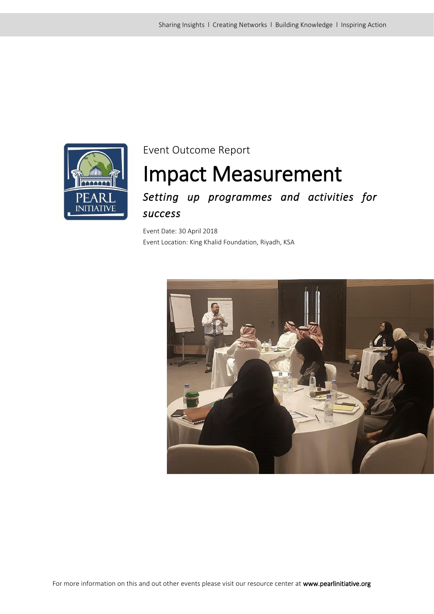

### Event Outcome Report

# Impact Measurement

*Setting up programmes and activities for success*

Event Date: 30 April 2018 Event Location: King Khalid Foundation, Riyadh, KSA

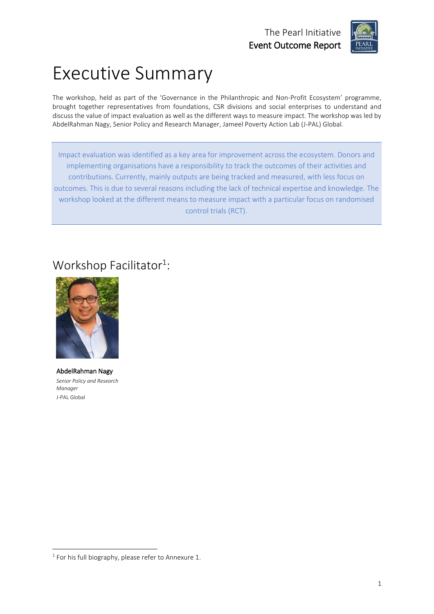

## Executive Summary

The workshop, held as part of the 'Governance in the Philanthropic and Non-Profit Ecosystem' programme, brought together representatives from foundations, CSR divisions and social enterprises to understand and discuss the value of impact evaluation as well as the different ways to measure impact. The workshop was led by AbdelRahman Nagy, Senior Policy and Research Manager, Jameel Poverty Action Lab (J-PAL) Global.

Impact evaluation was identified as a key area for improvement across the ecosystem. Donors and implementing organisations have a responsibility to track the outcomes of their activities and contributions. Currently, mainly outputs are being tracked and measured, with less focus on outcomes. This is due to several reasons including the lack of technical expertise and knowledge. The workshop looked at the different means to measure impact with a particular focus on randomised control trials (RCT).

### Workshop Facilitator<sup>1</sup>:



AbdelRahman Nagy *Senior Policy and Research Manager* J-PAL Global

**.** 

<sup>&</sup>lt;sup>1</sup> For his full biography, please refer to Annexure 1.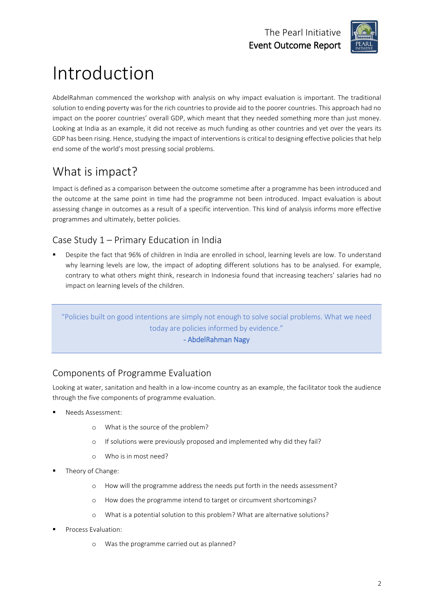

# Introduction

AbdelRahman commenced the workshop with analysis on why impact evaluation is important. The traditional solution to ending poverty was for the rich countries to provide aid to the poorer countries. This approach had no impact on the poorer countries' overall GDP, which meant that they needed something more than just money. Looking at India as an example, it did not receive as much funding as other countries and yet over the years its GDP has been rising. Hence, studying the impact of interventions is critical to designing effective policies that help end some of the world's most pressing social problems.

### What is impact?

Impact is defined as a comparison between the outcome sometime after a programme has been introduced and the outcome at the same point in time had the programme not been introduced. Impact evaluation is about assessing change in outcomes as a result of a specific intervention. This kind of analysis informs more effective programmes and ultimately, better policies.

### Case Study 1 – Primary Education in India

Despite the fact that 96% of children in India are enrolled in school, learning levels are low. To understand why learning levels are low, the impact of adopting different solutions has to be analysed. For example, contrary to what others might think, research in Indonesia found that increasing teachers' salaries had no impact on learning levels of the children.

"Policies built on good intentions are simply not enough to solve social problems. What we need today are policies informed by evidence."

- AbdelRahman Nagy

### Components of Programme Evaluation

Looking at water, sanitation and health in a low-income country as an example, the facilitator took the audience through the five components of programme evaluation.

- Needs Assessment:
	- o What is the source of the problem?
	- o If solutions were previously proposed and implemented why did they fail?
	- o Who is in most need?
- Theory of Change:
	- o How will the programme address the needs put forth in the needs assessment?
	- o How does the programme intend to target or circumvent shortcomings?
	- o What is a potential solution to this problem? What are alternative solutions?
- Process Evaluation:
	- o Was the programme carried out as planned?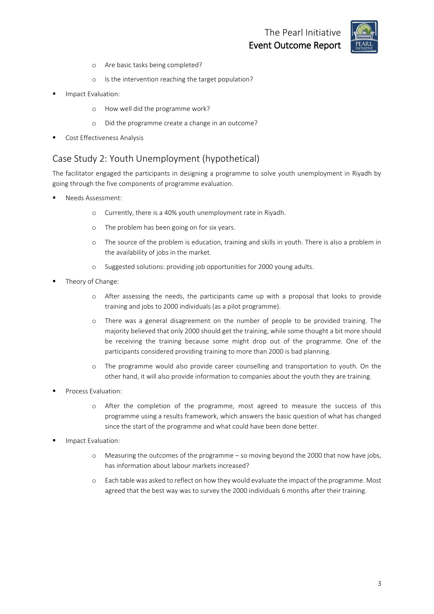

- o Are basic tasks being completed?
- o Is the intervention reaching the target population?
- Impact Evaluation:
	- o How well did the programme work?
	- o Did the programme create a change in an outcome?
- Cost Effectiveness Analysis

#### Case Study 2: Youth Unemployment (hypothetical)

The facilitator engaged the participants in designing a programme to solve youth unemployment in Riyadh by going through the five components of programme evaluation.

- Needs Assessment:
	- o Currently, there is a 40% youth unemployment rate in Riyadh.
	- o The problem has been going on for six years.
	- o The source of the problem is education, training and skills in youth. There is also a problem in the availability of jobs in the market.
	- o Suggested solutions: providing job opportunities for 2000 young adults.
- Theory of Change:
	- o After assessing the needs, the participants came up with a proposal that looks to provide training and jobs to 2000 individuals (as a pilot programme).
	- o There was a general disagreement on the number of people to be provided training. The majority believed that only 2000 should get the training, while some thought a bit more should be receiving the training because some might drop out of the programme. One of the participants considered providing training to more than 2000 is bad planning.
	- The programme would also provide career counselling and transportation to youth. On the other hand, it will also provide information to companies about the youth they are training.
- Process Evaluation:
	- o After the completion of the programme, most agreed to measure the success of this programme using a results framework, which answers the basic question of what has changed since the start of the programme and what could have been done better.
- Impact Evaluation:
	- o Measuring the outcomes of the programme so moving beyond the 2000 that now have jobs, has information about labour markets increased?
	- Each table was asked to reflect on how they would evaluate the impact of the programme. Most agreed that the best way was to survey the 2000 individuals 6 months after their training.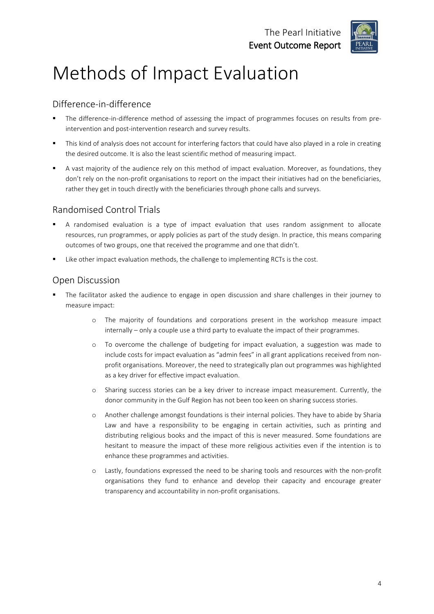

# Methods of Impact Evaluation

#### Difference-in-difference

- The difference-in-difference method of assessing the impact of programmes focuses on results from preintervention and post-intervention research and survey results.
- This kind of analysis does not account for interfering factors that could have also played in a role in creating the desired outcome. It is also the least scientific method of measuring impact.
- A vast majority of the audience rely on this method of impact evaluation. Moreover, as foundations, they don't rely on the non-profit organisations to report on the impact their initiatives had on the beneficiaries, rather they get in touch directly with the beneficiaries through phone calls and surveys.

#### Randomised Control Trials

- A randomised evaluation is a type of impact evaluation that uses random assignment to allocate resources, run programmes, or apply policies as part of the study design. In practice, this means comparing outcomes of two groups, one that received the programme and one that didn't.
- **■** Like other impact evaluation methods, the challenge to implementing RCTs is the cost.

#### Open Discussion

- The facilitator asked the audience to engage in open discussion and share challenges in their journey to measure impact:
	- o The majority of foundations and corporations present in the workshop measure impact internally – only a couple use a third party to evaluate the impact of their programmes.
	- o To overcome the challenge of budgeting for impact evaluation, a suggestion was made to include costs for impact evaluation as "admin fees" in all grant applications received from nonprofit organisations. Moreover, the need to strategically plan out programmes was highlighted as a key driver for effective impact evaluation.
	- o Sharing success stories can be a key driver to increase impact measurement. Currently, the donor community in the Gulf Region has not been too keen on sharing success stories.
	- Another challenge amongst foundations is their internal policies. They have to abide by Sharia Law and have a responsibility to be engaging in certain activities, such as printing and distributing religious books and the impact of this is never measured. Some foundations are hesitant to measure the impact of these more religious activities even if the intention is to enhance these programmes and activities.
	- o Lastly, foundations expressed the need to be sharing tools and resources with the non-profit organisations they fund to enhance and develop their capacity and encourage greater transparency and accountability in non-profit organisations.